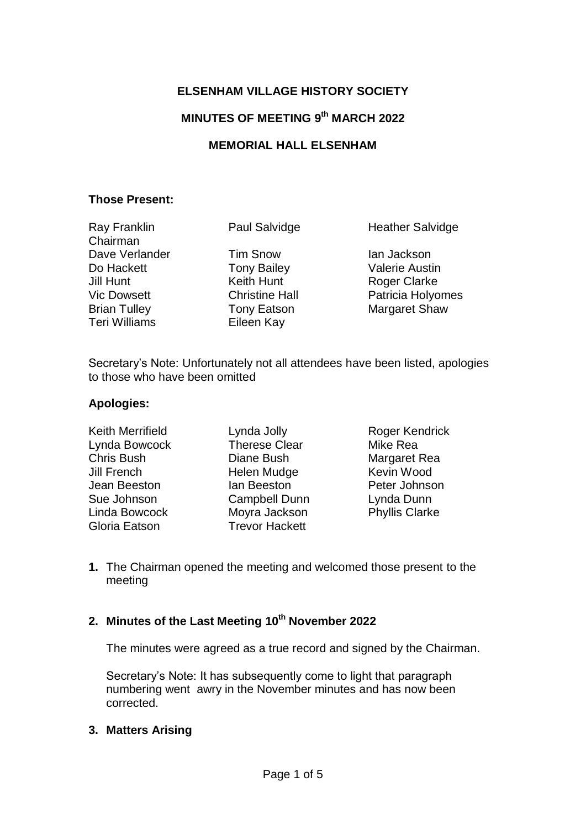### **ELSENHAM VILLAGE HISTORY SOCIETY**

# **MINUTES OF MEETING 9 th MARCH 2022**

### **MEMORIAL HALL ELSENHAM**

### **Those Present:**

Ray Franklin Chairman Dave Verlander Tim Snow Ian Jackson Do Hackett **Tony Bailey** Valerie Austin **Jill Hunt** Keith Hunt **Roger Clarke** Teri Williams Eileen Kay

Paul Salvidge Heather Salvidge

Vic Dowsett **Christine Hall** Patricia Holyomes Brian Tulley **Tony Eatson** Margaret Shaw

Secretary's Note: Unfortunately not all attendees have been listed, apologies to those who have been omitted

### **Apologies:**

Lynda Bowcock Therese Clear Mike Rea Chris Bush Diane Bush Margaret Rea Jill French Helen Mudge Kevin Wood Jean Beeston Ian Beeston Peter Johnson Sue Johnson Campbell Dunn Lynda Dunn Linda Bowcock Moyra Jackson Phyllis Clarke Gloria Eatson Trevor Hackett

Keith Merrifield Lynda Jolly Roger Kendrick

**1.** The Chairman opened the meeting and welcomed those present to the meeting

# **2. Minutes of the Last Meeting 10th November 2022**

The minutes were agreed as a true record and signed by the Chairman.

Secretary's Note: It has subsequently come to light that paragraph numbering went awry in the November minutes and has now been corrected.

### **3. Matters Arising**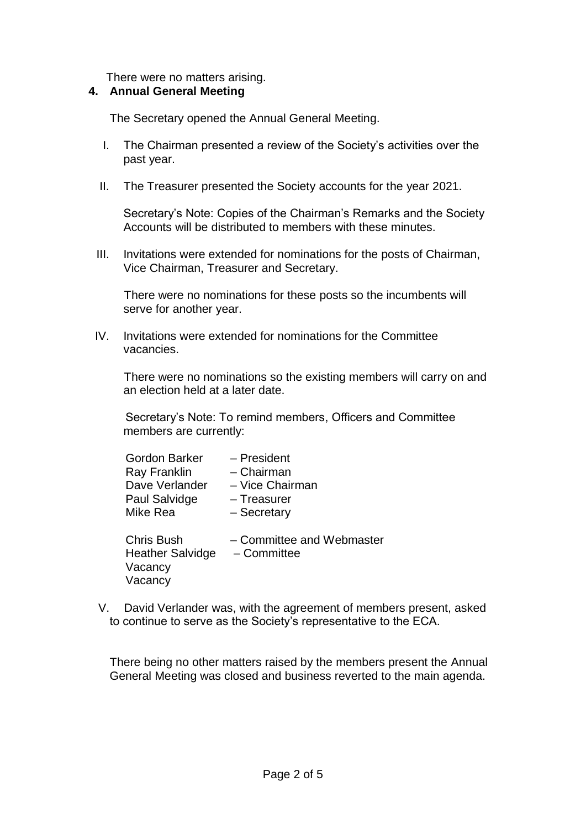There were no matters arising.

#### **4. Annual General Meeting**

The Secretary opened the Annual General Meeting.

- I. The Chairman presented a review of the Society's activities over the past year.
- II. The Treasurer presented the Society accounts for the year 2021.

Secretary's Note: Copies of the Chairman's Remarks and the Society Accounts will be distributed to members with these minutes.

III. Invitations were extended for nominations for the posts of Chairman, Vice Chairman, Treasurer and Secretary.

There were no nominations for these posts so the incumbents will serve for another year.

IV. Invitations were extended for nominations for the Committee vacancies.

There were no nominations so the existing members will carry on and an election held at a later date.

Secretary's Note: To remind members, Officers and Committee members are currently:

| - President               |
|---------------------------|
| - Chairman                |
| - Vice Chairman           |
| - Treasurer               |
| - Secretary               |
|                           |
| - Committee and Webmaster |
| - Committee               |
|                           |
|                           |
|                           |

V. David Verlander was, with the agreement of members present, asked to continue to serve as the Society's representative to the ECA.

There being no other matters raised by the members present the Annual General Meeting was closed and business reverted to the main agenda.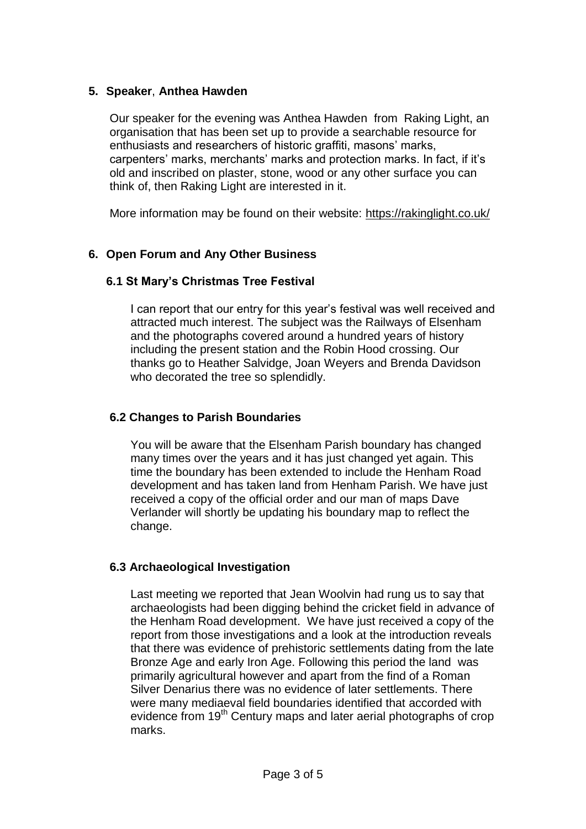### **5. Speaker**, **Anthea Hawden**

Our speaker for the evening was Anthea Hawden from Raking Light, an organisation that has been set up to provide a searchable resource for enthusiasts and researchers of historic graffiti, masons' marks, carpenters' marks, merchants' marks and protection marks. In fact, if it's old and inscribed on plaster, stone, wood or any other surface you can think of, then Raking Light are interested in it.

More information may be found on their website: https://rakinglight.co.uk/

# **6. Open Forum and Any Other Business**

# **6.1 St Mary's Christmas Tree Festival**

I can report that our entry for this year's festival was well received and attracted much interest. The subject was the Railways of Elsenham and the photographs covered around a hundred years of history including the present station and the Robin Hood crossing. Our thanks go to Heather Salvidge, Joan Weyers and Brenda Davidson who decorated the tree so splendidly.

# **6.2 Changes to Parish Boundaries**

You will be aware that the Elsenham Parish boundary has changed many times over the years and it has just changed yet again. This time the boundary has been extended to include the Henham Road development and has taken land from Henham Parish. We have just received a copy of the official order and our man of maps Dave Verlander will shortly be updating his boundary map to reflect the change.

# **6.3 Archaeological Investigation**

Last meeting we reported that Jean Woolvin had rung us to say that archaeologists had been digging behind the cricket field in advance of the Henham Road development. We have just received a copy of the report from those investigations and a look at the introduction reveals that there was evidence of prehistoric settlements dating from the late Bronze Age and early Iron Age. Following this period the land was primarily agricultural however and apart from the find of a Roman Silver Denarius there was no evidence of later settlements. There were many mediaeval field boundaries identified that accorded with evidence from 19<sup>th</sup> Century maps and later aerial photographs of crop marks.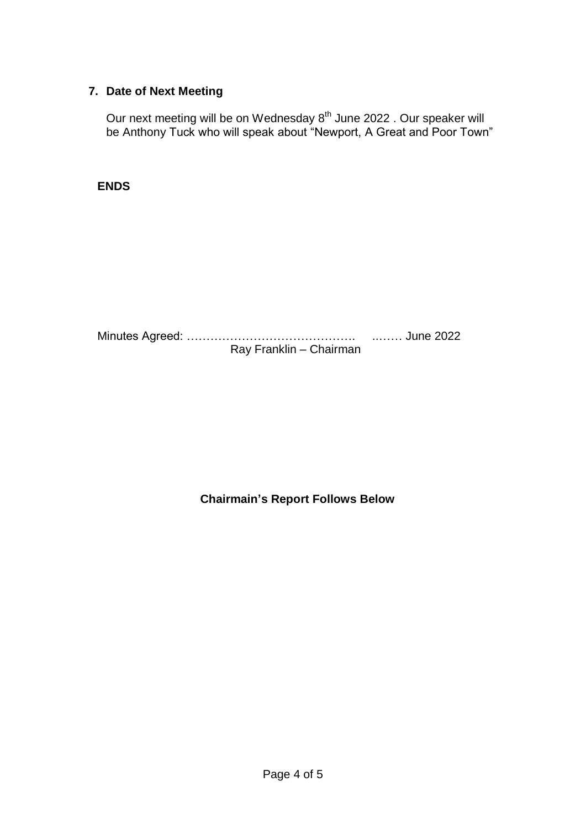# **7. Date of Next Meeting**

Our next meeting will be on Wednesday 8<sup>th</sup> June 2022 . Our speaker will be Anthony Tuck who will speak about "Newport, A Great and Poor Town"

### **ENDS**

Minutes Agreed: ……………………………………. ..…… June 2022 Ray Franklin – Chairman

**Chairmain's Report Follows Below**